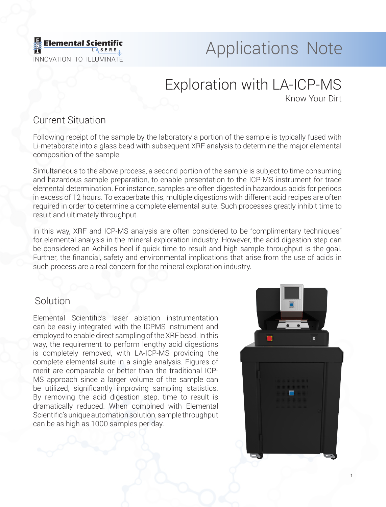

# **Applications Note**

# Exploration with LA-ICP-MS

Know Your Dirt

#### Current Situation

Following receipt of the sample by the laboratory a portion of the sample is typically fused with Li-metaborate into a glass bead with subsequent XRF analysis to determine the major elemental composition of the sample.

Simultaneous to the above process, a second portion of the sample is subject to time consuming and hazardous sample preparation, to enable presentation to the ICP-MS instrument for trace elemental determination. For instance, samples are often digested in hazardous acids for periods in excess of 12 hours. To exacerbate this, multiple digestions with different acid recipes are often required in order to determine a complete elemental suite. Such processes greatly inhibit time to result and ultimately throughput.

In this way, XRF and ICP-MS analysis are often considered to be "complimentary techniques" for elemental analysis in the mineral exploration industry. However, the acid digestion step can be considered an Achilles heel if quick time to result and high sample throughput is the goal. Further, the financial, safety and environmental implications that arise from the use of acids in such process are a real concern for the mineral exploration industry.

#### **Solution**

Elemental Scientific's laser ablation instrumentation can be easily integrated with the ICPMS instrument and employed to enable direct sampling of the XRF bead. In this way, the requirement to perform lengthy acid digestions is completely removed, with LA-ICP-MS providing the complete elemental suite in a single analysis. Figures of merit are comparable or better than the traditional ICP-MS approach since a larger volume of the sample can be utilized, significantly improving sampling statistics. By removing the acid digestion step, time to result is dramatically reduced. When combined with Elemental Scientific's unique automation solution, sample throughput can be as high as 1000 samples per day.



1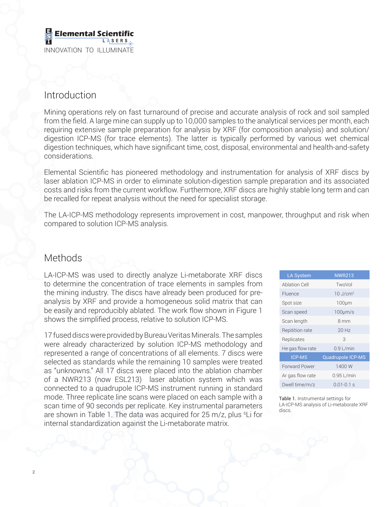#### **Elemental Scient L A SER S** INNOVATION TO ILLUMINATE

## Introduction

Mining operations rely on fast turnaround of precise and accurate analysis of rock and soil sampled from the field. A large mine can supply up to 10,000 samples to the analytical services per month, each requiring extensive sample preparation for analysis by XRF (for composition analysis) and solution/ digestion ICP-MS (for trace elements). The latter is typically performed by various wet chemical digestion techniques, which have significant time, cost, disposal, environmental and health-and-safety considerations.

Elemental Scientific has pioneered methodology and instrumentation for analysis of XRF discs by laser ablation ICP-MS in order to eliminate solution-digestion sample preparation and its associated costs and risks from the current workflow. Furthermore, XRF discs are highly stable long term and can be recalled for repeat analysis without the need for specialist storage.

The LA-ICP-MS methodology represents improvement in cost, manpower, throughput and risk when compared to solution ICP-MS analysis.

### **Methods**

LA-ICP-MS was used to directly analyze Li-metaborate XRF discs to determine the concentration of trace elements in samples from the mining industry. The discs have already been produced for preanalysis by XRF and provide a homogeneous solid matrix that can be easily and reproducibly ablated. The work flow shown in Figure 1 shows the simplified process, relative to solution ICP-MS.

17 fused discs were provided by Bureau Veritas Minerals. The samples were already characterized by solution ICP-MS methodology and represented a range of concentrations of all elements. 7 discs were selected as standards while the remaining 10 samples were treated as "unknowns." All 17 discs were placed into the ablation chamber of a NWR213 (now ESL213) laser ablation system which was connected to a quadrupole ICP-MS instrument running in standard mode. Three replicate line scans were placed on each sample with a scan time of 90 seconds per replicate. Key instrumental parameters are shown in Table 1. The data was acquired for 25 m/z, plus <sup>6</sup>Li for internal standardization against the Li-metaborate matrix.

| <b>LA System</b>       | <b>NWR213</b>          |
|------------------------|------------------------|
| Ablation Cell          | TwoVol                 |
| Fluence                | $10$ J/cm <sup>2</sup> |
| Spot size              | 100 <sub>µ</sub>       |
| Scan speed             | $100 \mu m/s$          |
| Scan length            | 8 mm                   |
| <b>Repitition rate</b> | $20$ Hz                |
| Replicates             | 3                      |
| He gas flow rate       | $0.9$ L/min            |
| <b>ICP-MS</b>          | Quadrupole ICP-MS      |
| <b>Forward Power</b>   | 1400 W                 |
| Ar gas flow rate       | $0.95$ L/min           |
| Dwell time/m/z         | $0.01 - 0.1$ s         |

Table 1. Instrumental settings for LA-ICP-MS analysis of Li-metaborate XRF discs.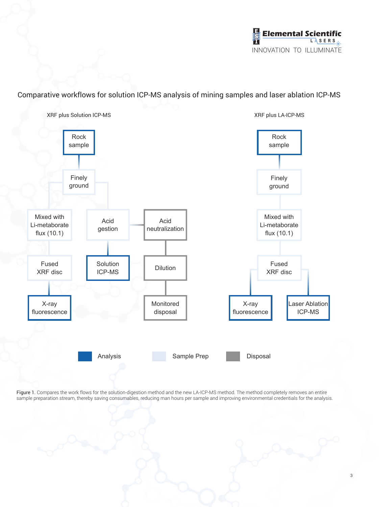

Comparative workflows for solution ICP-MS analysis of mining samples and laser ablation ICP-MS



Figure 1. Compares the work flows for the solution-digestion method and the new LA-ICP-MS method. The method completely removes an entire sample preparation stream, thereby saving consumables, reducing man hours per sample and improving environmental credentials for the analysis.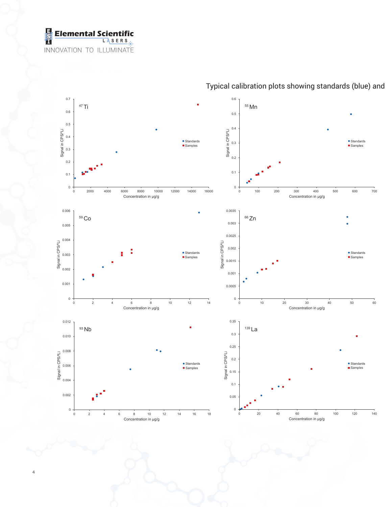



Typical calibration plots showing standards (blue) and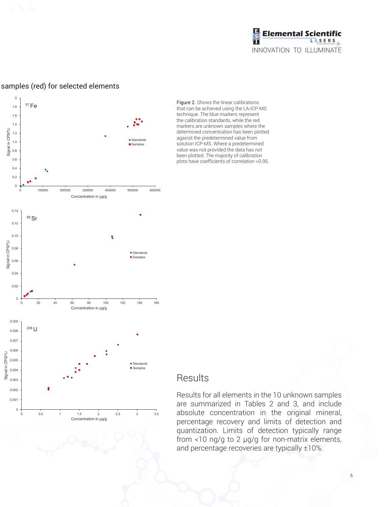



#### samples (red) for selected elements

#### Figure 2. Shows the linear calibrations that can be achieved using the LA-ICP-MS technique. The blue markers represent the calibration standards, while the red markers are unknown samples where the determined concentration has been plotted against the predetermined value from solution ICP-MS. Where a predetermined value was not provided the data has not been plotted. The majority of calibration plots have coefficients of correlation >0.95.

#### Results

Results for all elements in the 10 unknown samples are summarized in Tables 2 and 3, and include absolute concentration in the original mineral, percentage recovery and limits of detection and quantization. Limits of detection typically range from <10 ng/g to 2 μg/g for non-matrix elements, and percentage recoveries are typically ±10%.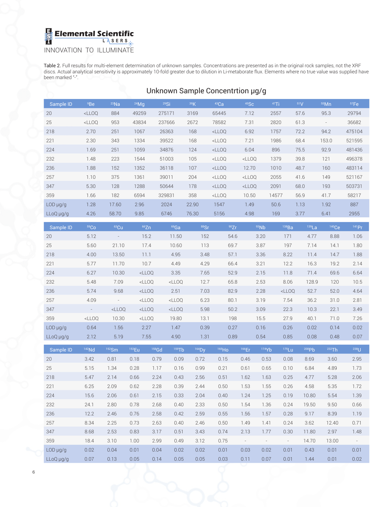**Elemental Scientific L A SER S** INNOVATION TO ILLUMINATE

Table 2. Full results for multi-element determination of unknown samples. Concentrations are presented as in the original rock samples, not the XRF discs. Actual analytical sensitivity is approximately 10-fold greater due to dilution in Li-metaborate flux. Elements where no true value was supplied have been marked "-".

|               | Unknown Sample Concentrtion µg/g                                                                                                                            |         |         |              |        |          |          |         |                          |                   |        |  |  |  |
|---------------|-------------------------------------------------------------------------------------------------------------------------------------------------------------|---------|---------|--------------|--------|----------|----------|---------|--------------------------|-------------------|--------|--|--|--|
| Sample ID     | <sup>9</sup> Be                                                                                                                                             | $23$ Na | $24$ Mg | 29Si         | 39K    | 43Ca     | 45SC     | $47$ Ti | 51V                      | $55$ Mn           | 57Fe   |  |  |  |
| 20            | <lloq< td=""><td>884</td><td>49259</td><td>275171</td><td>3169</td><td>65445</td><td>7.12</td><td>2557</td><td>57.6</td><td>95.3</td><td>29794</td></lloq<> | 884     | 49259   | 275171       | 3169   | 65445    | 7.12     | 2557    | 57.6                     | 95.3              | 29794  |  |  |  |
| 25            | <lloq< td=""><td>953</td><td>43834</td><td>237666</td><td>2672</td><td>78582</td><td>7.31</td><td>2820</td><td>61.3</td><td></td><td>36682</td></lloq<>     | 953     | 43834   | 237666       | 2672   | 78582    | 7.31     | 2820    | 61.3                     |                   | 36682  |  |  |  |
| 218           | 2.70                                                                                                                                                        | 251     | 1067    | 26363        | 168    | $<$ LLOQ | 6.92     | 1757    | 72.2                     | 94.2              | 475104 |  |  |  |
| 221           | 2.30                                                                                                                                                        | 343     | 1334    | 39522        | 168    | $<$ LLOQ | 7.21     | 1986    | 68.4                     | 153.0             | 521595 |  |  |  |
| 224           | 1.69                                                                                                                                                        | 251     | 1059    | 34876        | 124    | $<$ LLOQ | 6.04     | 896     | 75.5                     | 92.9              | 481436 |  |  |  |
| 232           | 1.48                                                                                                                                                        | 223     | 1544    | 51003        | 105    | $<$ LLOQ | $<$ LLOQ | 1379    | 39.8                     | 121               | 496378 |  |  |  |
| 236           | 1.88                                                                                                                                                        | 152     | 1352    | 36118        | 107    | $<$ LLOQ | 12.70    | 1010    | 48.7                     | 160               | 483114 |  |  |  |
| 257           | 1.10                                                                                                                                                        | 375     | 1361    | 39011        | 204    | $<$ LLOQ | $<$ LLOQ | 2055    | 41.6                     | 149               | 521167 |  |  |  |
| 347           | 5.30                                                                                                                                                        | 128     | 1288    | 50644        | 178    | $<$ LLOQ | $<$ LLOO | 2091    | 68.0                     | 193               | 503731 |  |  |  |
| 359           | 1.66                                                                                                                                                        | 182     | 6594    | 329831       | 358    | $<$ LLOQ | 10.50    | 14577   | 56.9                     | 41.7              | 58217  |  |  |  |
| $LOD \mu g/g$ | 1.28                                                                                                                                                        | 17.60   | 2.96    | 2024         | 22.90  | 1547     | 1.49     | 50.6    | 1.13                     | 1.92              | 887    |  |  |  |
| LLoQ µg/g     | 4.26                                                                                                                                                        | 58.70   | 9.85    | 6746         | 76.30  | 5156     | 4.98     | 169     | 3.77                     | 6.41              | 2955   |  |  |  |
| Sample ID     | 59 <sub>Co</sub>                                                                                                                                            | $63$ Cu | 66Zn    | $69$ Ga      | 88Sr   | 90Zr     | 93Nb     |         | 138Ba<br>$139$ La        | 140 <sub>Ce</sub> | 141 Pr |  |  |  |
|               |                                                                                                                                                             |         |         |              |        |          |          |         |                          |                   |        |  |  |  |
| 20            | 5.12                                                                                                                                                        |         | 15.2    | 11.50        | 152    | 54.6     | 3.20     |         | 171<br>4.77              | 8.88              | 1.06   |  |  |  |
| 25            | 5.60                                                                                                                                                        | 21.10   | 17.4    | 10.60        | 113    | 69.7     | 3.87     |         | 197<br>7.14              | 14.1              | 1.80   |  |  |  |
| 218           | $\Lambda$ $\Omega$                                                                                                                                          | 1350    | 111     | $A$ $\Omega$ | $2.18$ | 571      | 3.36     |         | Q, 22<br>11 <sub>A</sub> | 717               | 1.99   |  |  |  |

| 218           | 4.00              | 13.50                    | 11.1     | 4.95     | 3.48 | 57.1 | 3.36 | 8.22     | 11.4  | 14.7 | 1.88 |
|---------------|-------------------|--------------------------|----------|----------|------|------|------|----------|-------|------|------|
| 221           | 5.77              | 11.70                    | 10.7     | 4.49     | 4.29 | 66.4 | 3.21 | 12.2     | 16.3  | 19.2 | 2.14 |
| 224           | 6.27              | 10.30                    | $<$ LLOQ | 3.35     | 7.65 | 52.9 | 2.15 | 11.8     | 71.4  | 69.6 | 6.64 |
| 232           | 5.48              | 7.09                     | $<$ LLOO | $<$ LLOQ | 12.7 | 65.8 | 2.53 | 8.06     | 128.9 | 120  | 10.5 |
| 236           | 5.74              | 9.68                     | $<$ LLOQ | 2.51     | 7.03 | 82.9 | 2.28 | $<$ LLOQ | 52.7  | 52.0 | 4.64 |
| 257           | 4.09              | $\overline{\phantom{a}}$ | $<$ LLOQ | $<$ LLOQ | 6.23 | 80.1 | 3.19 | 7.54     | 36.2  | 31.0 | 2.81 |
| 347           | $\qquad \qquad -$ | $<$ LLOQ                 | $<$ LLOQ | $<$ LLOQ | 5.98 | 50.2 | 3.09 | 22.3     | 10.3  | 22.1 | 3.49 |
| 359           | $<$ LLOQ          | 10.30                    | $<$ LLOQ | 19.80    | 13.1 | 198  | 15.5 | 27.9     | 40.1  | 71.0 | 7.26 |
| $LOD \mu q/q$ | 0.64              | .56                      | 2.27     | 1.47     | 0.39 | 0.27 | 0.16 | 0.26     | 0.02  | 0.14 | 0.02 |

LLoQ µg/g 2.12 5.19 7.55 4.90 1.31 0.89 0.54 0.85 0.08 0.48 0.07

| Sample ID     | 142Nd | $152$ Sm | $153$ Eu | 158Gd | 159Tb | 164Dy | 165H <sub>O</sub> | 166Er                    | 174Yb | $175$ Lu                 | 208Pb | 232Th | $238$ U                  |
|---------------|-------|----------|----------|-------|-------|-------|-------------------|--------------------------|-------|--------------------------|-------|-------|--------------------------|
| 20            | 3.42  | 0.81     | 0.18     | 0.79  | 0.09  | 0.72  | 0.15              | 0.46                     | 0.53  | 0.08                     | 8.69  | 3.60  | 2.95                     |
| 25            | 5.15  | 1.34     | 0.28     | 1.17  | 0.16  | 0.99  | 0.21              | 0.61                     | 0.65  | 0.10                     | 6.84  | 4.89  | 1.73                     |
| 218           | 5.47  | 2.14     | 0.66     | 2.24  | 0.43  | 2.56  | 0.51              | 1.62                     | 1.63  | 0.25                     | 4.77  | 5.28  | 2.06                     |
| 221           | 6.25  | 2.09     | 0.62     | 2.28  | 0.39  | 2.44  | 0.50              | 1.53                     | 1.55  | 0.26                     | 4.58  | 5.35  | 1.72                     |
| 224           | 15.6  | 2.06     | 0.61     | 2.15  | 0.33  | 2.04  | 0.40              | 1.24                     | 1.25  | 0.19                     | 10.80 | 5.54  | 1.39                     |
| 232           | 24.1  | 2.80     | 0.78     | 2.68  | 0.40  | 2.33  | 0.50              | 1.54                     | 1.36  | 0.24                     | 19.50 | 9.50  | 0.66                     |
| 236           | 12.2  | 2.46     | 0.76     | 2.58  | 0.42  | 2.59  | 0.55              | 1.56                     | 1.57  | 0.28                     | 9.17  | 8.39  | 1.19                     |
| 257           | 8.34  | 2.25     | 0.73     | 2.63  | 0.40  | 2.46  | 0.50              | 1.49                     | 1.41  | 0.24                     | 3.62  | 12.40 | 0.71                     |
| 347           | 8.68  | 2.53     | 0.83     | 3.17  | 0.51  | 3.43  | 0.74              | 2.13                     | 1.77  | 0.30                     | 11.80 | 2.97  | 1.48                     |
| 359           | 18.4  | 3.10     | 1.00     | 2.99  | 0.49  | 3.12  | 0.75              | $\overline{\phantom{a}}$ |       | $\overline{\phantom{a}}$ | 14.70 | 13.00 | $\overline{\phantom{a}}$ |
| $LOD \mu g/g$ | 0.02  | 0.04     | 0.01     | 0.04  | 0.02  | 0.02  | 0.01              | 0.03                     | 0.02  | 0.01                     | 0.43  | 0.01  | 0.01                     |
| LLoQ µg/g     | 0.07  | 0.13     | 0.05     | 0.14  | 0.05  | 0.05  | 0.03              | 0.11                     | 0.07  | 0.01                     | 1.44  | 0.01  | 0.02                     |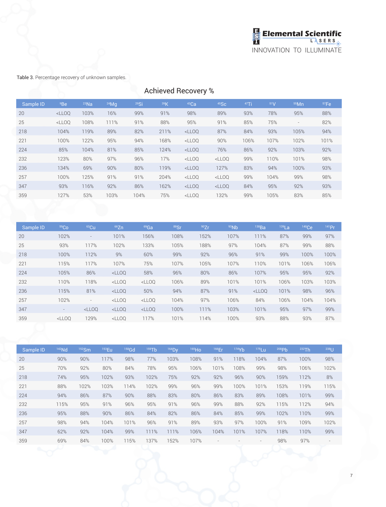

Table 3. Percentage recovery of unknown samples.

| <b>Achieved Recovery %</b> |         |                                                      |                                                                          |                                                              |              |                                                                                              |                                  |      |         |      |  |  |  |
|----------------------------|---------|------------------------------------------------------|--------------------------------------------------------------------------|--------------------------------------------------------------|--------------|----------------------------------------------------------------------------------------------|----------------------------------|------|---------|------|--|--|--|
| <sup>9</sup> Be            | $23$ Na |                                                      | 29Si                                                                     | 39K                                                          | 43Ca         | 45SC                                                                                         | $47$ Ti                          | 51V  | $55$ Mn | 57Fe |  |  |  |
| $<$ LLOQ                   |         | 16%                                                  |                                                                          | 91%                                                          | 98%          | 89%                                                                                          | 93%                              | 78%  | 95%     | 88%  |  |  |  |
| $<$ LLOQ                   |         |                                                      |                                                                          | 88%                                                          | 95%          | 91%                                                                                          | 85%                              | 75%  |         | 82%  |  |  |  |
| 104%                       |         |                                                      |                                                                          |                                                              |              | 87%                                                                                          | 84%                              | 93%  | 105%    | 94%  |  |  |  |
| 100%                       |         |                                                      | 94%                                                                      | 168%                                                         |              | 90%                                                                                          | 106%                             | 107% | 102%    | 101% |  |  |  |
| 85%                        |         |                                                      |                                                                          | 124%                                                         |              | 76%                                                                                          | 86%                              | 92%  | 103%    | 92%  |  |  |  |
| 123%                       | 80%     |                                                      |                                                                          | 17%                                                          |              |                                                                                              | 99%                              | 110% | 101%    | 98%  |  |  |  |
| 134%                       | 69%     |                                                      |                                                                          | 119%                                                         |              | 127%                                                                                         | 83%                              | 94%  | 100%    | 93%  |  |  |  |
| 100%                       |         |                                                      |                                                                          |                                                              |              |                                                                                              | 99%                              | 104% | 99%     | 98%  |  |  |  |
| 93%                        |         |                                                      |                                                                          | 162%                                                         |              |                                                                                              | 84%                              | 95%  | 92%     | 93%  |  |  |  |
| 127%                       | 53%     |                                                      |                                                                          | 75%                                                          |              | 132%                                                                                         | 99%                              | 105% | 83%     | 85%  |  |  |  |
|                            |         | 103%<br>108%<br>119%<br>122%<br>104%<br>125%<br>116% | $24$ Mg<br>111%<br>89%<br>95%<br>81%<br>97%<br>90%<br>91%<br>92%<br>103% | 99%<br>91%<br>82%<br>85%<br>96%<br>80%<br>91%<br>86%<br>104% | 211%<br>204% | $<$ LLOQ<br>$<$ LLOQ<br>$<$ LLOQ<br>$<$ LLOQ<br>$<$ LLOQ<br>$<$ LLOQ<br>$<$ LLOQ<br>$<$ LLOQ | $<$ LLOQ<br>$<$ LLOQ<br>$<$ LLOQ |      |         |      |  |  |  |

| Sample ID | 59 <sub>CO</sub> | $63$ Cu                  | 66Zn                                                                                                                                          | $69$ Ga  | <sup>88</sup> Sr | 90Zr | 93Nb | 138Ba    | $139$ La | 140Ce | 141 Pr |
|-----------|------------------|--------------------------|-----------------------------------------------------------------------------------------------------------------------------------------------|----------|------------------|------|------|----------|----------|-------|--------|
| 20        | 102%             | $\qquad \qquad =$        | 101%                                                                                                                                          | 156%     | 108%             | 152% | 107% | 111%     | 87%      | 99%   | 97%    |
| 25        | 93%              | 117%                     | 102%                                                                                                                                          | 133%     | 105%             | 188% | 97%  | 104%     | 87%      | 99%   | 88%    |
| 218       | 100%             | 112%                     | 9%                                                                                                                                            | 60%      | 99%              | 92%  | 96%  | 91%      | 99%      | 100%  | 100%   |
| 221       | 115%             | 117%                     | 107%                                                                                                                                          | 75%      | 107%             | 105% | 107% | 110%     | 101%     | 106%  | 106%   |
| 224       | 105%             | 86%                      | <lloq< td=""><td>58%</td><td>96%</td><td>80%</td><td>86%</td><td>107%</td><td>95%</td><td>95%</td><td>92%</td></lloq<>                        | 58%      | 96%              | 80%  | 86%  | 107%     | 95%      | 95%   | 92%    |
| 232       | 110%             | 118%                     | <lloq< td=""><td><math>&lt;</math>LLOQ</td><td>106%</td><td>89%</td><td>101%</td><td>101%</td><td>106%</td><td>103%</td><td>103%</td></lloq<> | $<$ LLOQ | 106%             | 89%  | 101% | 101%     | 106%     | 103%  | 103%   |
| 236       | 115%             | 81%                      | $<$ LLOQ                                                                                                                                      | 50%      | 94%              | 87%  | 91%  | $<$ LLOO | 101%     | 98%   | 96%    |
| 257       | 102%             | $\overline{\phantom{a}}$ | <lloq< td=""><td><math>&lt;</math>LLOQ</td><td>104%</td><td>97%</td><td>106%</td><td>84%</td><td>106%</td><td>104%</td><td>104%</td></lloq<>  | $<$ LLOQ | 104%             | 97%  | 106% | 84%      | 106%     | 104%  | 104%   |
| 347       | $\sim$           | $<$ LLOO                 | $<$ LLOQ                                                                                                                                      | $<$ LLOQ | 100%             | 111% | 103% | 101%     | 95%      | 97%   | 99%    |
| 359       | $<$ LLOO         | 129%                     | <lloq< td=""><td>117%</td><td>101%</td><td>114%</td><td>100%</td><td>93%</td><td>88%</td><td>93%</td><td>87%</td></lloq<>                     | 117%     | 101%             | 114% | 100% | 93%      | 88%      | 93%   | 87%    |

| Sample ID | 142Nd | $152$ Sm | $153$ Eu | $158$ Gd | $159$ Tb | $164$ Dy | 165H <sub>O</sub> | 166Er | 174Yb | $175$ Lu                 | 208Pb | 232Th | $238$ U |
|-----------|-------|----------|----------|----------|----------|----------|-------------------|-------|-------|--------------------------|-------|-------|---------|
| 20        | 90%   | 90%      | 117%     | 98%      | 77%      | 103%     | 108%              | 91%   | 118%  | 104%                     | 87%   | 100%  | 98%     |
| 25        | 70%   | 92%      | 80%      | 84%      | 78%      | 95%      | 106%              | 101%  | 108%  | 99%                      | 98%   | 106%  | 102%    |
| 218       | 74%   | 95%      | 102%     | 93%      | 102%     | 75%      | 92%               | 92%   | 96%   | 90%                      | 159%  | 112%  | 8%      |
| 221       | 88%   | 102%     | 103%     | 114%     | 102%     | 99%      | 96%               | 99%   | 100%  | 101%                     | 153%  | 119%  | 115%    |
| 224       | 94%   | 86%      | 87%      | 90%      | 88%      | 83%      | 80%               | 86%   | 83%   | 89%                      | 108%  | 101%  | 99%     |
| 232       | 115%  | 95%      | 91%      | 96%      | 95%      | 91%      | 96%               | 99%   | 88%   | 92%                      | 115%  | 112%  | 94%     |
| 236       | 95%   | 88%      | 90%      | 86%      | 84%      | 82%      | 86%               | 84%   | 85%   | 99%                      | 102%  | 110%  | 99%     |
| 257       | 98%   | 94%      | 104%     | 101%     | 96%      | 91%      | 89%               | 93%   | 97%   | 100%                     | 91%   | 109%  | 102%    |
| 347       | 62%   | 92%      | 104%     | 99%      | 111%     | 111%     | 106%              | 104%  | 101%  | 107%                     | 118%  | 110%  | 99%     |
| 359       | 69%   | 84%      | 100%     | 115%     | 137%     | 152%     | 107%              | ٠     |       | $\overline{\phantom{a}}$ | 98%   | 97%   |         |